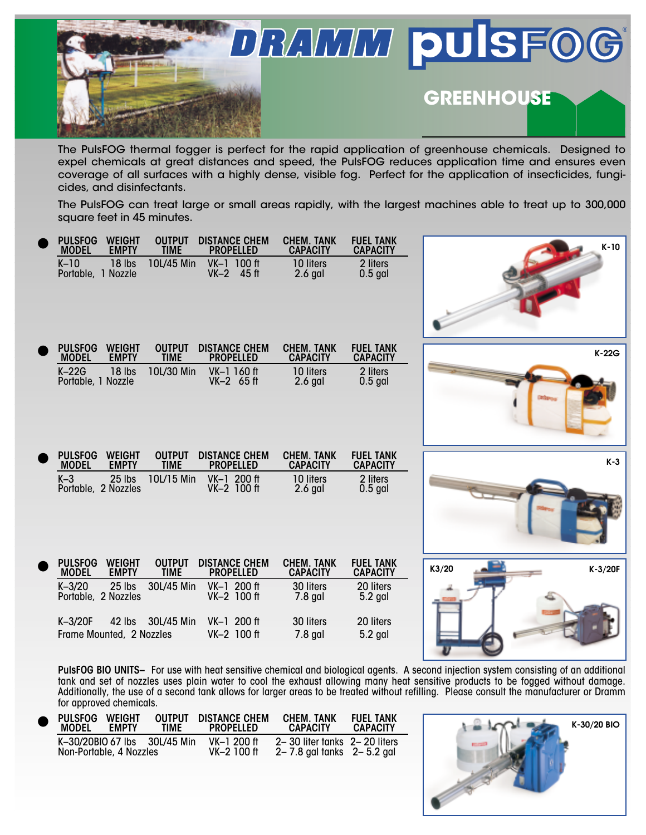

The PulsFOG thermal fogger is perfect for the rapid application of greenhouse chemicals. Designed to expel chemicals at great distances and speed, the PulsFOG reduces application time and ensures even coverage of all surfaces with a highly dense, visible fog. Perfect for the application of insecticides, fungicides, and disinfectants.

The PulsFOG can treat large or small areas rapidly, with the largest machines able to treat up to 300,000 square feet in 45 minutes.

| <b>PULSFOG</b><br><b>WEIGHT</b><br><b>MODEL</b><br><b>EMPTY</b> | <b>OUTPUT</b><br><b>TIME</b> | <b>DISTANCE CHEM</b><br><b>PROPELLED</b> | <b>CHEM. TANK</b><br><b>CAPACITY</b> | <b>FUEL TANK</b><br><b>CAPACITY</b> | $K-10$             |
|-----------------------------------------------------------------|------------------------------|------------------------------------------|--------------------------------------|-------------------------------------|--------------------|
| $K-10$<br>18 lbs<br>Portable, 1 Nozzle                          | 10L/45 Min                   | VK-1 100 ft<br>VK-2 45 ft                | 10 liters<br>$2.6$ gal               | 2 liters<br>$0.5$ gal               |                    |
|                                                                 |                              |                                          |                                      |                                     |                    |
|                                                                 |                              |                                          |                                      |                                     |                    |
|                                                                 |                              |                                          |                                      |                                     |                    |
| <b>WEIGHT</b><br><b>PULSFOG</b>                                 | <b>OUTPUT</b>                | <b>DISTANCE CHEM</b>                     | <b>CHEM. TANK</b>                    | <b>FUEL TANK</b>                    | $K-22G$            |
| <b>EMPTY</b><br><b>MODEL</b><br>$K-22G$<br>18 lbs               | <b>TIME</b><br>10L/30 Min    | <b>PROPELLED</b><br>VK-1 160 ft          | <b>CAPACITY</b><br>10 liters         | <b>CAPACITY</b><br>2 liters         |                    |
| Portable, 1 Nozzle                                              |                              | VK-2 65 ft                               | $2.6$ gal                            | $0.5$ gal                           |                    |
|                                                                 |                              |                                          |                                      |                                     |                    |
|                                                                 |                              |                                          |                                      |                                     |                    |
|                                                                 |                              |                                          |                                      |                                     |                    |
|                                                                 |                              |                                          |                                      |                                     |                    |
| <b>PULSFOG</b><br><b>WEIGHT</b><br><b>MODEL</b><br><b>EMPTY</b> | <b>OUTPUT</b><br><b>TIME</b> | <b>DISTANCE CHEM</b><br><b>PROPELLED</b> | <b>CHEM. TANK</b><br><b>CAPACITY</b> | <b>FUEL TANK</b><br><b>CAPACITY</b> | $K-3$              |
| $K-3$<br>25 lbs                                                 | 10L/15 Min                   | VK-1 200 ft                              | 10 liters                            | 2 liters                            |                    |
| Portable, 2 Nozzles                                             |                              | VK-2 100 ft                              | $2.6$ gal                            | $0.5$ gal                           |                    |
|                                                                 |                              |                                          |                                      |                                     |                    |
|                                                                 |                              |                                          |                                      |                                     |                    |
| <b>PULSFOG</b><br><b>WEIGHT</b>                                 | <b>OUTPUT</b>                | <b>DISTANCE CHEM</b>                     | <b>CHEM. TANK</b>                    | <b>FUEL TANK</b>                    |                    |
| <b>MODEL</b><br><b>EMPTY</b>                                    | <b>TIME</b>                  | <b>PROPELLED</b>                         | <b>CAPACITY</b>                      | <b>CAPACITY</b>                     | K3/20<br>$K-3/20F$ |
| $K - 3/20$<br>$25$ lbs<br>Portable, 2 Nozzles                   | 30L/45 Min                   | VK-1 200 ft<br>VK-2 100 ft               | 30 liters<br>7.8 gal                 | 20 liters<br>$5.2$ gal              |                    |
|                                                                 |                              |                                          |                                      |                                     |                    |
| $K-3/20F$<br>42 lbs<br>Frame Mounted, 2 Nozzles                 | 30L/45 Min                   | VK-1 200 ft<br>VK-2 100 ft               | 30 liters<br>7.8 gal                 | 20 liters<br>$5.2$ gal              |                    |

**PulsFOG BIO UNITS–** For use with heat sensitive chemical and biological agents. A second injection system consisting of an additional tank and set of nozzles uses plain water to cool the exhaust allowing many heat sensitive products to be fogged without damage. Additionally, the use of a second tank allows for larger areas to be treated without refilling. Please consult the manufacturer or Dramm for approved chemicals.

| <b>PULSFOG</b>          | <b>WEIGHT</b> | <b>OUTPUT</b>                  | <b>DISTANCE CHEM</b>        | <b>CHEM. TANK</b>                                         | <b>FUEL TANK</b> |
|-------------------------|---------------|--------------------------------|-----------------------------|-----------------------------------------------------------|------------------|
| <b>MODEL</b>            | <b>FMPTY</b>  | <b>TIME</b>                    | <b>PROPELLED</b>            | <b>CAPACITY</b>                                           | <b>CAPACITY</b>  |
| Non-Portable, 4 Nozzles |               | $K-30/20BIO 67 lbs 30L/45 Min$ | $VK-1200 ft$<br>VK-2 100 ft | 2-30 liter tanks 2-20 liters<br>2–7.8 gal tanks 2–5.2 gal |                  |